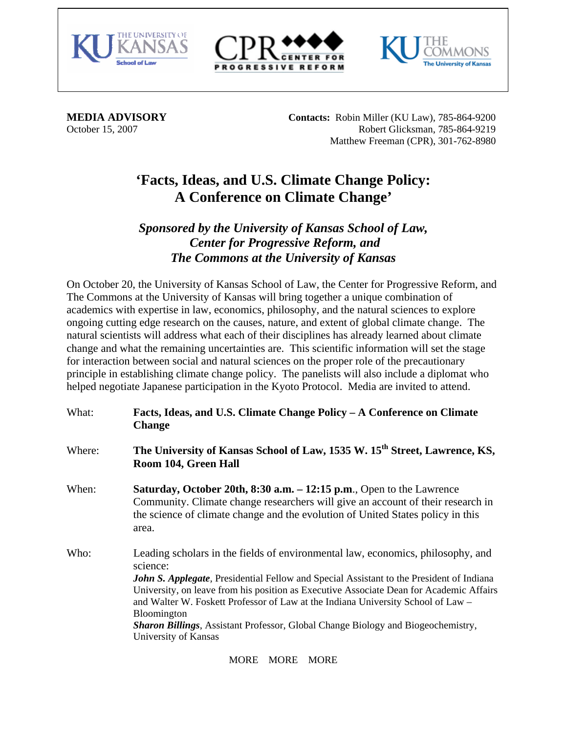





 $\overline{a}$ 

**MEDIA ADVISORY** Contacts: Robin Miller (KU Law), 785-864-9200 October 15, 2007 Robert Glicksman, 785-864-9219 Matthew Freeman (CPR), 301-762-8980

## **'Facts, Ideas, and U.S. Climate Change Policy: A Conference on Climate Change'**

## *Sponsored by the University of Kansas School of Law, Center for Progressive Reform, and The Commons at the University of Kansas*

On October 20, the University of Kansas School of Law, the Center for Progressive Reform, and The Commons at the University of Kansas will bring together a unique combination of academics with expertise in law, economics, philosophy, and the natural sciences to explore ongoing cutting edge research on the causes, nature, and extent of global climate change. The natural scientists will address what each of their disciplines has already learned about climate change and what the remaining uncertainties are. This scientific information will set the stage for interaction between social and natural sciences on the proper role of the precautionary principle in establishing climate change policy. The panelists will also include a diplomat who helped negotiate Japanese participation in the Kyoto Protocol. Media are invited to attend.

What: **Facts, Ideas, and U.S. Climate Change Policy – A Conference on Climate Change**  Where: **The University of Kansas School of Law, 1535 W. 15th Street, Lawrence, KS, Room 104, Green Hall** When: **Saturday, October 20th, 8:30 a.m. – 12:15 p.m**., Open to the Lawrence Community. Climate change researchers will give an account of their research in the science of climate change and the evolution of United States policy in this area. Who: Leading scholars in the fields of environmental law, economics, philosophy, and science: *John S. Applegate,* Presidential Fellow and Special Assistant to the President of Indiana University, on leave from his position as Executive Associate Dean for Academic Affairs and Walter W. Foskett Professor of Law at the Indiana University School of Law – Bloomington *Sharon Billings*, Assistant Professor, Global Change Biology and Biogeochemistry, University of Kansas

MORE MORE MORE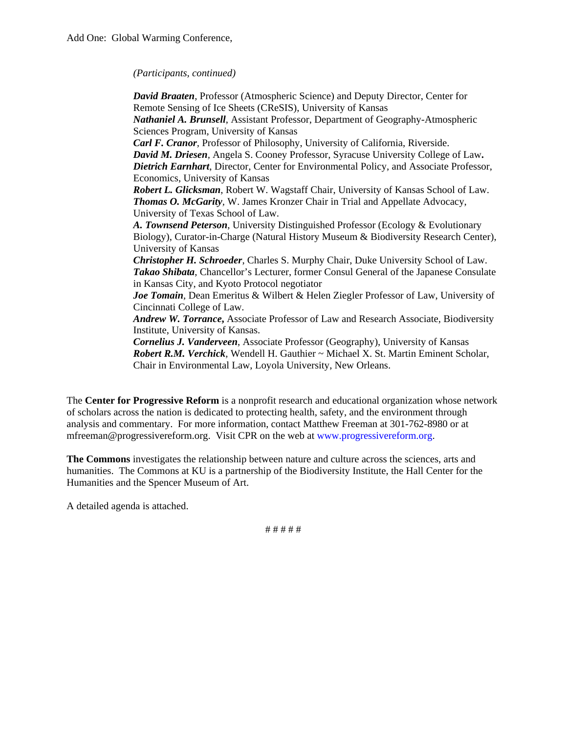*(Participants, continued)* 

*David Braaten*, Professor (Atmospheric Science) and Deputy Director, Center for Remote Sensing of Ice Sheets (CReSIS), University of Kansas *Nathaniel A. Brunsell*, Assistant Professor, Department of Geography-Atmospheric Sciences Program, University of Kansas *Carl F. Cranor*, Professor of Philosophy, University of California, Riverside. *David M. Driesen,* Angela S. Cooney Professor, Syracuse University College of Law**.**  *Dietrich Earnhart*, Director, Center for Environmental Policy, and Associate Professor, Economics, University of Kansas *Robert L. Glicksman*, Robert W. Wagstaff Chair, University of Kansas School of Law. *Thomas O. McGarity,* W. James Kronzer Chair in Trial and Appellate Advocacy, University of Texas School of Law. *A. Townsend Peterson*, University Distinguished Professor (Ecology & Evolutionary Biology), Curator-in-Charge (Natural History Museum & Biodiversity Research Center), University of Kansas *Christopher H. Schroeder*, Charles S. Murphy Chair, Duke University School of Law. *Takao Shibata*, Chancellor's Lecturer, former Consul General of the Japanese Consulate in Kansas City, and Kyoto Protocol negotiator *Joe Tomain,* Dean Emeritus & Wilbert & Helen Ziegler Professor of Law, University of Cincinnati College of Law. *Andrew W. Torrance***,** Associate Professor of Law and Research Associate, Biodiversity Institute, University of Kansas. *Cornelius J. Vanderveen*, Associate Professor (Geography), University of Kansas *Robert R.M. Verchick,* Wendell H. Gauthier ~ Michael X. St. Martin Eminent Scholar, Chair in Environmental Law, Loyola University, New Orleans.

The **Center for Progressive Reform** is a nonprofit research and educational organization whose network of scholars across the nation is dedicated to protecting health, safety, and the environment through analysis and commentary. For more information, contact Matthew Freeman at 301-762-8980 or at [mfreeman@progressivereform.org.](mailto:mfreeman@progressivereform.org) Visit CPR on the web at [www.progressivereform.org](http://www.progressivereform.org/).

**The Commons** investigates the relationship between nature and culture across the sciences, arts and humanities. The Commons at KU is a partnership of the Biodiversity Institute, the Hall Center for the Humanities and the Spencer Museum of Art.

A detailed agenda is attached.

# # # # #